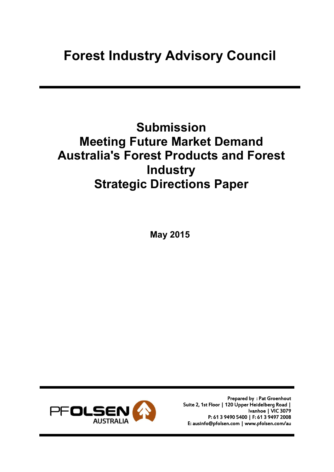# Forest Industry Advisory Council

# Submission Meeting Future Market Demand Australia's Forest Products and Forest **Industry** Strategic Directions Paper

May 2015



Prepared by : Pat Groenhout Suite 2, 1st Floor | 120 Upper Heidelberg Road | Ivanhoe | VIC 3079 P: 61 3 9490 5400 | F: 61 3 9497 2008 E: ausinfo@pfolsen.com | www.pfolsen.com/au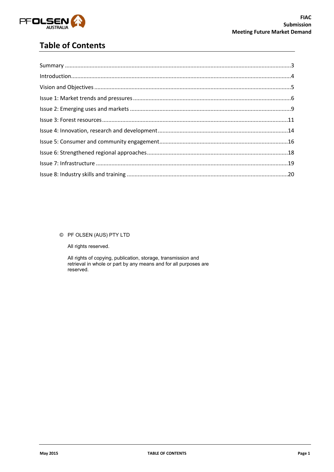

# **Table of Contents**

#### © PF OLSEN (AUS) PTY LTD

All rights reserved.

All rights of copying, publication, storage, transmission and<br>retrieval in whole or part by any means and for all purposes are reserved.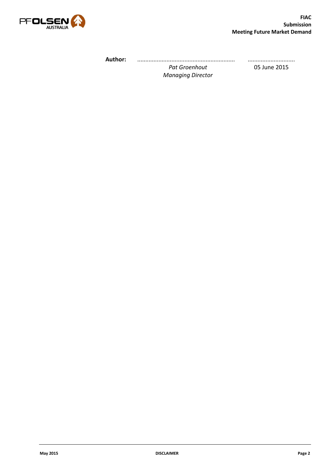

Author: ............................................................ *Pat Groenhout* .............................

*Managing Director*

05 June 2015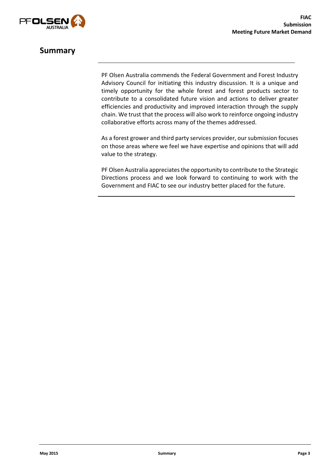

## Summary

PF Olsen Australia commends the Federal Government and Forest Industry Advisory Council for initiating this industry discussion. It is a unique and timely opportunity for the whole forest and forest products sector to contribute to a consolidated future vision and actions to deliver greater efficiencies and productivity and improved interaction through the supply chain. We trust that the process will also work to reinforce ongoing industry collaborative efforts across many of the themes addressed.

As a forest grower and third party services provider, our submission focuses on those areas where we feel we have expertise and opinions that will add value to the strategy.

PF Olsen Australia appreciates the opportunity to contribute to the Strategic Directions process and we look forward to continuing to work with the Government and FIAC to see our industry better placed for the future.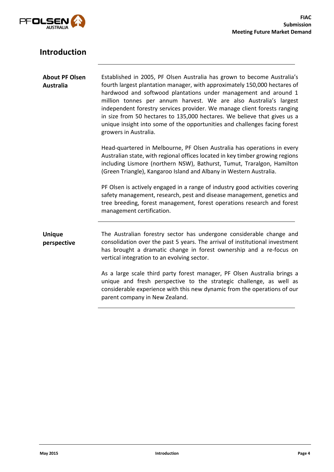

| <b>Introduction</b>                       |                                                                                                                                                                                                                                                                                                                                                                                                                                                                                                                                                             |
|-------------------------------------------|-------------------------------------------------------------------------------------------------------------------------------------------------------------------------------------------------------------------------------------------------------------------------------------------------------------------------------------------------------------------------------------------------------------------------------------------------------------------------------------------------------------------------------------------------------------|
| <b>About PF Olsen</b><br><b>Australia</b> | Established in 2005, PF Olsen Australia has grown to become Australia's<br>fourth largest plantation manager, with approximately 150,000 hectares of<br>hardwood and softwood plantations under management and around 1<br>million tonnes per annum harvest. We are also Australia's largest<br>independent forestry services provider. We manage client forests ranging<br>in size from 50 hectares to 135,000 hectares. We believe that gives us a<br>unique insight into some of the opportunities and challenges facing forest<br>growers in Australia. |
|                                           | Head-quartered in Melbourne, PF Olsen Australia has operations in every<br>Australian state, with regional offices located in key timber growing regions<br>including Lismore (northern NSW), Bathurst, Tumut, Traralgon, Hamilton<br>(Green Triangle), Kangaroo Island and Albany in Western Australia.                                                                                                                                                                                                                                                    |
|                                           | PF Olsen is actively engaged in a range of industry good activities covering<br>safety management, research, pest and disease management, genetics and<br>tree breeding, forest management, forest operations research and forest<br>management certification.                                                                                                                                                                                                                                                                                              |
| <b>Unique</b><br>perspective              | The Australian forestry sector has undergone considerable change and<br>consolidation over the past 5 years. The arrival of institutional investment<br>has brought a dramatic change in forest ownership and a re-focus on<br>vertical integration to an evolving sector.                                                                                                                                                                                                                                                                                  |
|                                           | As a large scale third party forest manager, PF Olsen Australia brings a<br>unique and fresh perspective to the strategic challenge, as well as<br>considerable experience with this new dynamic from the operations of our<br>parent company in New Zealand.                                                                                                                                                                                                                                                                                               |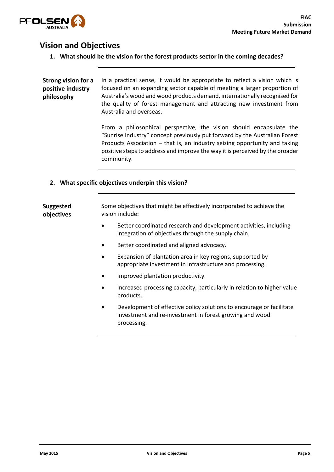

## Vision and Objectives

1. What should be the vision for the forest products sector in the coming decades?

Strong vision for a positive industry philosophy In a practical sense, it would be appropriate to reflect a vision which is focused on an expanding sector capable of meeting a larger proportion of Australia's wood and wood products demand, internationally recognised for the quality of forest management and attracting new investment from Australia and overseas.

> From a philosophical perspective, the vision should encapsulate the "Sunrise Industry" concept previously put forward by the Australian Forest Products Association – that is, an industry seizing opportunity and taking positive steps to address and improve the way it is perceived by the broader community.

#### 2. What specific objectives underpin this vision?

Suggested objectives Some objectives that might be effectively incorporated to achieve the vision include:

- Better coordinated research and development activities, including integration of objectives through the supply chain.
- Better coordinated and aligned advocacy.
- Expansion of plantation area in key regions, supported by appropriate investment in infrastructure and processing.
- Improved plantation productivity.
- Increased processing capacity, particularly in relation to higher value products.
- Development of effective policy solutions to encourage or facilitate investment and re-investment in forest growing and wood processing.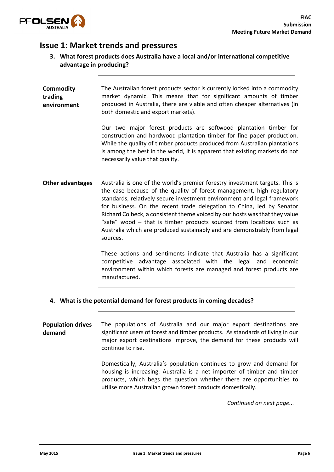

## Issue 1: Market trends and pressures

3. What forest products does Australia have a local and/or international competitive advantage in producing?

| <b>Commodity</b><br>trading<br>environment | The Australian forest products sector is currently locked into a commodity<br>market dynamic. This means that for significant amounts of timber<br>produced in Australia, there are viable and often cheaper alternatives (in<br>both domestic and export markets).                                                                                                                                                                                                                                                                                      |
|--------------------------------------------|----------------------------------------------------------------------------------------------------------------------------------------------------------------------------------------------------------------------------------------------------------------------------------------------------------------------------------------------------------------------------------------------------------------------------------------------------------------------------------------------------------------------------------------------------------|
|                                            | Our two major forest products are softwood plantation timber for<br>construction and hardwood plantation timber for fine paper production.<br>While the quality of timber products produced from Australian plantations<br>is among the best in the world, it is apparent that existing markets do not<br>necessarily value that quality.                                                                                                                                                                                                                |
| <b>Other advantages</b>                    | Australia is one of the world's premier forestry investment targets. This is<br>the case because of the quality of forest management, high regulatory<br>standards, relatively secure investment environment and legal framework<br>for business. On the recent trade delegation to China, led by Senator<br>Richard Colbeck, a consistent theme voiced by our hosts was that they value<br>"safe" wood - that is timber products sourced from locations such as<br>Australia which are produced sustainably and are demonstrably from legal<br>sources. |
|                                            | These actions and sentiments indicate that Australia has a significant<br>competitive advantage associated with the legal and economic<br>environment within which forests are managed and forest products are<br>manufactured.                                                                                                                                                                                                                                                                                                                          |
|                                            | A Mihat is the notential demand for ferest products in coming desades?                                                                                                                                                                                                                                                                                                                                                                                                                                                                                   |

4. What is the potential demand for forest products in coming decades?

Population drives demand The populations of Australia and our major export destinations are significant users of forest and timber products. As standards of living in our major export destinations improve, the demand for these products will continue to rise.

> Domestically, Australia's population continues to grow and demand for housing is increasing. Australia is a net importer of timber and timber products, which begs the question whether there are opportunities to utilise more Australian grown forest products domestically.

> > *Continued on next page...*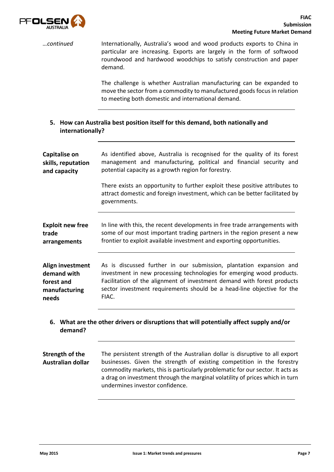

*…continued* Internationally, Australia's wood and wood products exports to China in particular are increasing. Exports are largely in the form of softwood roundwood and hardwood woodchips to satisfy construction and paper demand.

> The challenge is whether Australian manufacturing can be expanded to move the sector from a commodity to manufactured goods focus in relation to meeting both domestic and international demand.

5. How can Australia best position itself for this demand, both nationally and internationally?

| Capitalise on           | As identified above, Australia is recognised for the quality of its forest                                                                                                 |
|-------------------------|----------------------------------------------------------------------------------------------------------------------------------------------------------------------------|
| skills, reputation      | management and manufacturing, political and financial security and                                                                                                         |
| and capacity            | potential capacity as a growth region for forestry.                                                                                                                        |
|                         | There exists an opportunity to further exploit these positive attributes to<br>attract domestic and foreign investment, which can be better facilitated by<br>governments. |
| <b>Exploit new free</b> | In line with this, the recent developments in free trade arrangements with                                                                                                 |
| trade                   | some of our most important trading partners in the region present a new                                                                                                    |
| arrangements            | frontier to exploit available investment and exporting opportunities.                                                                                                      |
| Align investment        | As is discussed further in our submission, plantation expansion and                                                                                                        |
| demand with             | investment in new processing technologies for emerging wood products.                                                                                                      |
| forest and              | Facilitation of the alignment of investment demand with forest products                                                                                                    |
| manufacturing           | sector investment requirements should be a head-line objective for the                                                                                                     |
| needs                   | FIAC.                                                                                                                                                                      |
| demand?                 | 6. What are the other drivers or disruptions that will potentially affect supply and/or                                                                                    |

Strength of the Australian dollar The persistent strength of the Australian dollar is disruptive to all export businesses. Given the strength of existing competition in the forestry commodity markets, this is particularly problematic for our sector. It acts as a drag on investment through the marginal volatility of prices which in turn undermines investor confidence.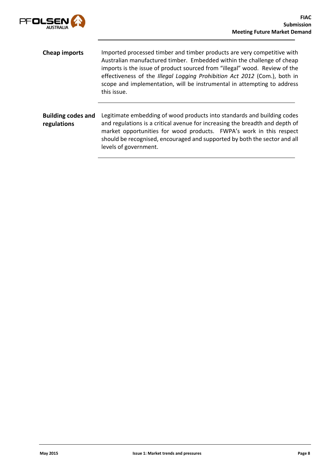

- Cheap imports Imported processed timber and timber products are very competitive with Australian manufactured timber. Embedded within the challenge of cheap imports is the issue of product sourced from "illegal" wood. Review of the effectiveness of the *Illegal Logging Prohibition Act 2012* (Com.), both in scope and implementation, will be instrumental in attempting to address this issue.
- Building codes and regulations Legitimate embedding of wood products into standards and building codes and regulations is a critical avenue for increasing the breadth and depth of market opportunities for wood products. FWPA's work in this respect should be recognised, encouraged and supported by both the sector and all levels of government.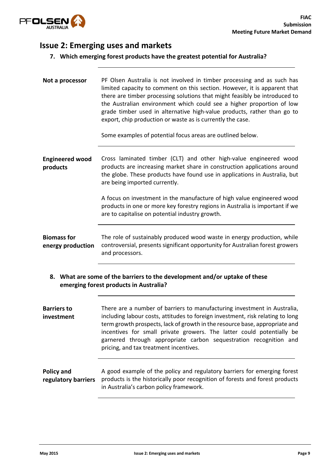

## Issue 2: Emerging uses and markets

#### 7. Which emerging forest products have the greatest potential for Australia?

| Not a processor                                                                                                      | PF Olsen Australia is not involved in timber processing and as such has<br>limited capacity to comment on this section. However, it is apparent that<br>there are timber processing solutions that might feasibly be introduced to<br>the Australian environment which could see a higher proportion of low<br>grade timber used in alternative high-value products, rather than go to<br>export, chip production or waste as is currently the case.<br>Some examples of potential focus areas are outlined below. |
|----------------------------------------------------------------------------------------------------------------------|--------------------------------------------------------------------------------------------------------------------------------------------------------------------------------------------------------------------------------------------------------------------------------------------------------------------------------------------------------------------------------------------------------------------------------------------------------------------------------------------------------------------|
| <b>Engineered wood</b><br>products                                                                                   | Cross laminated timber (CLT) and other high-value engineered wood<br>products are increasing market share in construction applications around<br>the globe. These products have found use in applications in Australia, but<br>are being imported currently.                                                                                                                                                                                                                                                       |
|                                                                                                                      | A focus on investment in the manufacture of high value engineered wood<br>products in one or more key forestry regions in Australia is important if we<br>are to capitalise on potential industry growth.                                                                                                                                                                                                                                                                                                          |
| <b>Biomass for</b><br>energy production                                                                              | The role of sustainably produced wood waste in energy production, while<br>controversial, presents significant opportunity for Australian forest growers<br>and processors.                                                                                                                                                                                                                                                                                                                                        |
| 8. What are some of the barriers to the development and/or uptake of these<br>emerging forest products in Australia? |                                                                                                                                                                                                                                                                                                                                                                                                                                                                                                                    |
| <b>Barriers to</b><br>investment                                                                                     | There are a number of barriers to manufacturing investment in Australia,<br>including labour costs, attitudes to foreign investment, risk relating to long<br>term growth prospects, lack of growth in the resource base, appropriate and<br>incentives for small private growers. The latter could potentially be<br>garnered through appropriate carbon sequestration recognition and<br>pricing, and tax treatment incentives.                                                                                  |
| Policy and<br>regulatory barriers                                                                                    | A good example of the policy and regulatory barriers for emerging forest<br>products is the historically poor recognition of forests and forest products<br>in Australia's carbon policy framework.                                                                                                                                                                                                                                                                                                                |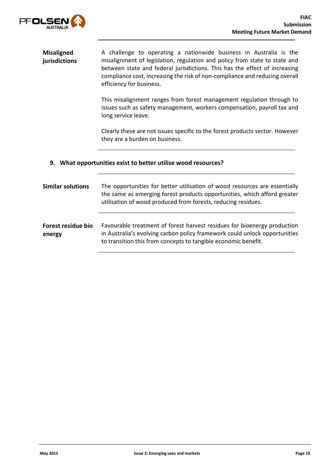

| <b>Misaligned</b><br>jurisdictions | A challenge to operating a nationwide business in Australia is the<br>misalignment of legislation, regulation and policy from state to state and<br>between state and federal jurisdictions. This has the effect of increasing<br>compliance cost, increasing the risk of non-compliance and reducing overall<br>efficiency for business. |
|------------------------------------|-------------------------------------------------------------------------------------------------------------------------------------------------------------------------------------------------------------------------------------------------------------------------------------------------------------------------------------------|
|                                    | This misalignment ranges from forest management regulation through to<br>issues such as safety management, workers compensation, payroll tax and<br>long service leave.                                                                                                                                                                   |
|                                    | Clearly these are not issues specific to the forest products sector. However<br>they are a burden on business.                                                                                                                                                                                                                            |
|                                    |                                                                                                                                                                                                                                                                                                                                           |
| 9.                                 | What opportunities exist to better utilise wood resources?                                                                                                                                                                                                                                                                                |
| <b>Similar solutions</b>           | The opportunities for better utilisation of wood resources are essentially<br>the same as emerging forest products opportunities, which afford greater<br>utilisation of wood produced from forests, reducing residues.                                                                                                                   |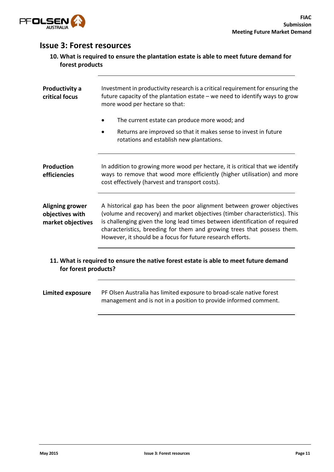

## Issue 3: Forest resources

| 10. What is required to ensure the plantation estate is able to meet future demand for |
|----------------------------------------------------------------------------------------|
| forest products                                                                        |

| Productivity a<br>critical focus                                                                              | Investment in productivity research is a critical requirement for ensuring the<br>future capacity of the plantation estate $-$ we need to identify ways to grow<br>more wood per hectare so that:                                                                                                                                                                            |
|---------------------------------------------------------------------------------------------------------------|------------------------------------------------------------------------------------------------------------------------------------------------------------------------------------------------------------------------------------------------------------------------------------------------------------------------------------------------------------------------------|
|                                                                                                               | The current estate can produce more wood; and                                                                                                                                                                                                                                                                                                                                |
|                                                                                                               | Returns are improved so that it makes sense to invest in future<br>rotations and establish new plantations.                                                                                                                                                                                                                                                                  |
| Production<br>efficiencies                                                                                    | In addition to growing more wood per hectare, it is critical that we identify<br>ways to remove that wood more efficiently (higher utilisation) and more<br>cost effectively (harvest and transport costs).                                                                                                                                                                  |
| <b>Aligning grower</b><br>objectives with<br>market objectives                                                | A historical gap has been the poor alignment between grower objectives<br>(volume and recovery) and market objectives (timber characteristics). This<br>is challenging given the long lead times between identification of required<br>characteristics, breeding for them and growing trees that possess them.<br>However, it should be a focus for future research efforts. |
| 11. What is required to ensure the native forest estate is able to meet future demand<br>for forest products? |                                                                                                                                                                                                                                                                                                                                                                              |
| <b>Limited exposure</b>                                                                                       | PF Olsen Australia has limited exposure to broad-scale native forest<br>management and is not in a position to provide informed comment.                                                                                                                                                                                                                                     |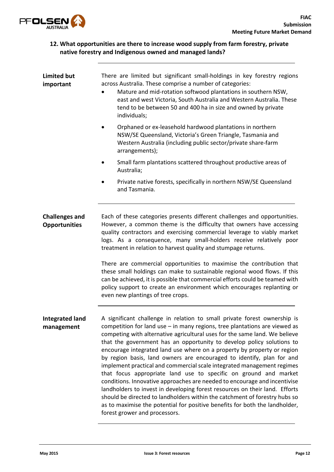

#### 12. What opportunities are there to increase wood supply from farm forestry, private native forestry and Indigenous owned and managed lands?

| <b>Limited but</b><br>important               | There are limited but significant small-holdings in key forestry regions<br>across Australia. These comprise a number of categories:<br>Mature and mid-rotation softwood plantations in southern NSW,<br>east and west Victoria, South Australia and Western Australia. These<br>tend to be between 50 and 400 ha in size and owned by private<br>individuals;                                                                                                                                                                                                                                                                                                                                                                                                                                                                                                                                                                                                              |
|-----------------------------------------------|-----------------------------------------------------------------------------------------------------------------------------------------------------------------------------------------------------------------------------------------------------------------------------------------------------------------------------------------------------------------------------------------------------------------------------------------------------------------------------------------------------------------------------------------------------------------------------------------------------------------------------------------------------------------------------------------------------------------------------------------------------------------------------------------------------------------------------------------------------------------------------------------------------------------------------------------------------------------------------|
|                                               | Orphaned or ex-leasehold hardwood plantations in northern<br>NSW/SE Queensland, Victoria's Green Triangle, Tasmania and<br>Western Australia (including public sector/private share-farm<br>arrangements);                                                                                                                                                                                                                                                                                                                                                                                                                                                                                                                                                                                                                                                                                                                                                                  |
|                                               | Small farm plantations scattered throughout productive areas of<br>Australia;                                                                                                                                                                                                                                                                                                                                                                                                                                                                                                                                                                                                                                                                                                                                                                                                                                                                                               |
|                                               | Private native forests, specifically in northern NSW/SE Queensland<br>and Tasmania.                                                                                                                                                                                                                                                                                                                                                                                                                                                                                                                                                                                                                                                                                                                                                                                                                                                                                         |
| <b>Challenges and</b><br><b>Opportunities</b> | Each of these categories presents different challenges and opportunities.<br>However, a common theme is the difficulty that owners have accessing<br>quality contractors and exercising commercial leverage to viably market<br>logs. As a consequence, many small-holders receive relatively poor<br>treatment in relation to harvest quality and stumpage returns.                                                                                                                                                                                                                                                                                                                                                                                                                                                                                                                                                                                                        |
|                                               | There are commercial opportunities to maximise the contribution that<br>these small holdings can make to sustainable regional wood flows. If this<br>can be achieved, it is possible that commercial efforts could be teamed with<br>policy support to create an environment which encourages replanting or<br>even new plantings of tree crops.                                                                                                                                                                                                                                                                                                                                                                                                                                                                                                                                                                                                                            |
| <b>Integrated land</b><br>management          | A significant challenge in relation to small private forest ownership is<br>competition for land use $-$ in many regions, tree plantations are viewed as<br>competing with alternative agricultural uses for the same land. We believe<br>that the government has an opportunity to develop policy solutions to<br>encourage integrated land use where on a property by property or region<br>by region basis, land owners are encouraged to identify, plan for and<br>implement practical and commercial scale integrated management regimes<br>that focus appropriate land use to specific on ground and market<br>conditions. Innovative approaches are needed to encourage and incentivise<br>landholders to invest in developing forest resources on their land. Efforts<br>should be directed to landholders within the catchment of forestry hubs so<br>as to maximise the potential for positive benefits for both the landholder,<br>forest grower and processors. |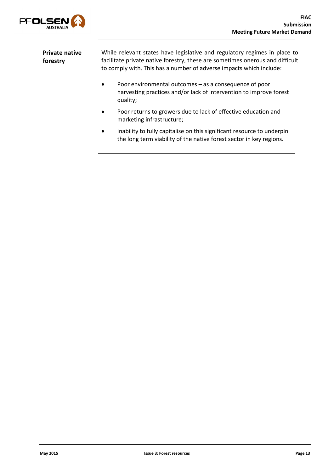

| <b>Private native</b> | While relevant states have legislative and regulatory regimes in place to     |
|-----------------------|-------------------------------------------------------------------------------|
| forestry              | facilitate private native forestry, these are sometimes onerous and difficult |
|                       | to comply with. This has a number of adverse impacts which include:           |

- Poor environmental outcomes as a consequence of poor harvesting practices and/or lack of intervention to improve forest quality;
- Poor returns to growers due to lack of effective education and marketing infrastructure;
- Inability to fully capitalise on this significant resource to underpin the long term viability of the native forest sector in key regions.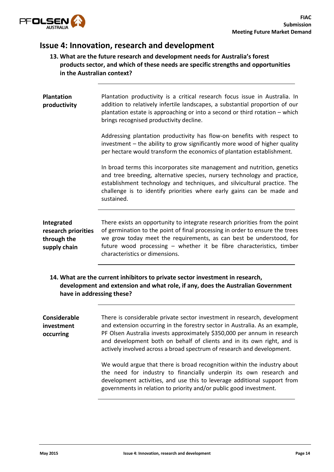

## Issue 4: Innovation, research and development

#### 13. What are the future research and development needs for Australia's forest products sector, and which of these needs are specific strengths and opportunities in the Australian context?

| <b>Plantation</b><br>productivity                                | Plantation productivity is a critical research focus issue in Australia. In<br>addition to relatively infertile landscapes, a substantial proportion of our<br>plantation estate is approaching or into a second or third rotation – which<br>brings recognised productivity decline.                                                        |
|------------------------------------------------------------------|----------------------------------------------------------------------------------------------------------------------------------------------------------------------------------------------------------------------------------------------------------------------------------------------------------------------------------------------|
|                                                                  | Addressing plantation productivity has flow-on benefits with respect to<br>investment – the ability to grow significantly more wood of higher quality<br>per hectare would transform the economics of plantation establishment.                                                                                                              |
|                                                                  | In broad terms this incorporates site management and nutrition, genetics<br>and tree breeding, alternative species, nursery technology and practice,<br>establishment technology and techniques, and silvicultural practice. The<br>challenge is to identify priorities where early gains can be made and<br>sustained.                      |
| Integrated<br>research priorities<br>through the<br>supply chain | There exists an opportunity to integrate research priorities from the point<br>of germination to the point of final processing in order to ensure the trees<br>we grow today meet the requirements, as can best be understood, for<br>future wood processing - whether it be fibre characteristics, timber<br>characteristics or dimensions. |

14. What are the current inhibitors to private sector investment in research, development and extension and what role, if any, does the Australian Government have in addressing these?

| Considerable<br>investment<br>occurring | There is considerable private sector investment in research, development<br>and extension occurring in the forestry sector in Australia. As an example,<br>PF Olsen Australia invests approximately \$350,000 per annum in research<br>and development both on behalf of clients and in its own right, and is<br>actively involved across a broad spectrum of research and development. |
|-----------------------------------------|-----------------------------------------------------------------------------------------------------------------------------------------------------------------------------------------------------------------------------------------------------------------------------------------------------------------------------------------------------------------------------------------|
|                                         | We would argue that there is broad recognition within the industry about<br>the need for industry to financially underpin its own research and<br>development activities, and use this to leverage additional support from<br>governments in relation to priority and/or public good investment.                                                                                        |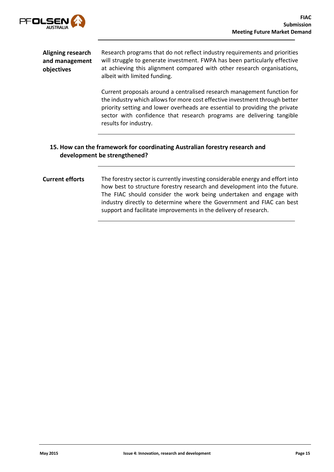

| Aligning research<br>and management<br>objectives | Research programs that do not reflect industry requirements and priorities<br>will struggle to generate investment. FWPA has been particularly effective<br>at achieving this alignment compared with other research organisations,<br>albeit with limited funding.                                                                     |
|---------------------------------------------------|-----------------------------------------------------------------------------------------------------------------------------------------------------------------------------------------------------------------------------------------------------------------------------------------------------------------------------------------|
|                                                   | Current proposals around a centralised research management function for<br>the industry which allows for more cost effective investment through better<br>priority setting and lower overheads are essential to providing the private<br>sector with confidence that research programs are delivering tangible<br>results for industry. |
|                                                   | 15. How can the framework for coordinating Australian forestry research and<br>development be strengthened?                                                                                                                                                                                                                             |

#### Current efforts The forestry sector is currently investing considerable energy and effort into how best to structure forestry research and development into the future. The FIAC should consider the work being undertaken and engage with industry directly to determine where the Government and FIAC can best support and facilitate improvements in the delivery of research.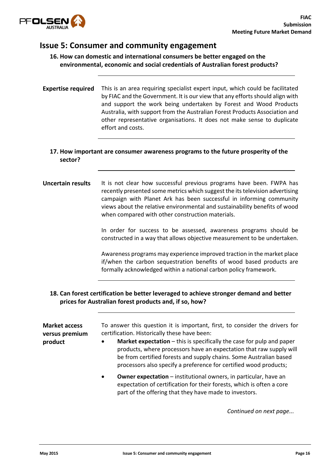

### Issue 5: Consumer and community engagement

16. How can domestic and international consumers be better engaged on the environmental, economic and social credentials of Australian forest products?

Expertise required This is an area requiring specialist expert input, which could be facilitated by FIAC and the Government. It is our view that any efforts should align with and support the work being undertaken by Forest and Wood Products Australia, with support from the Australian Forest Products Association and other representative organisations. It does not make sense to duplicate effort and costs.

#### 17. How important are consumer awareness programs to the future prosperity of the sector?

#### Uncertain results It is not clear how successful previous programs have been. FWPA has recently presented some metrics which suggest the its television advertising campaign with Planet Ark has been successful in informing community views about the relative environmental and sustainability benefits of wood when compared with other construction materials.

In order for success to be assessed, awareness programs should be constructed in a way that allows objective measurement to be undertaken.

Awareness programs may experience improved traction in the market place if/when the carbon sequestration benefits of wood based products are formally acknowledged within a national carbon policy framework.

#### 18. Can forest certification be better leveraged to achieve stronger demand and better prices for Australian forest products and, if so, how?

| <b>Market access</b><br>versus premium<br>product | To answer this question it is important, first, to consider the drivers for<br>certification. Historically these have been:<br><b>Market expectation</b> $-$ this is specifically the case for pulp and paper<br>$\bullet$<br>products, where processors have an expectation that raw supply will<br>be from certified forests and supply chains. Some Australian based<br>processors also specify a preference for certified wood products; |
|---------------------------------------------------|----------------------------------------------------------------------------------------------------------------------------------------------------------------------------------------------------------------------------------------------------------------------------------------------------------------------------------------------------------------------------------------------------------------------------------------------|
|                                                   | <b>Owner expectation</b> – institutional owners, in particular, have an<br>$\bullet$<br>expectation of certification for their forests, which is often a core<br>part of the offering that they have made to investors.                                                                                                                                                                                                                      |

*Continued on next page...*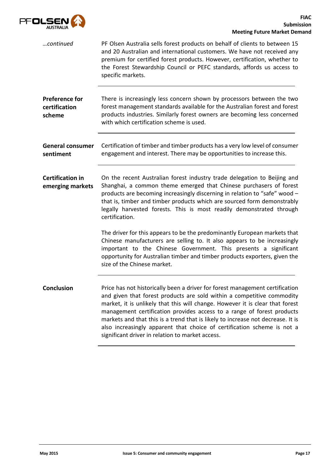

| continued                                        | PF Olsen Australia sells forest products on behalf of clients to between 15<br>and 20 Australian and international customers. We have not received any<br>premium for certified forest products. However, certification, whether to<br>the Forest Stewardship Council or PEFC standards, affords us access to<br>specific markets.                                                                                                                                                                                                  |
|--------------------------------------------------|-------------------------------------------------------------------------------------------------------------------------------------------------------------------------------------------------------------------------------------------------------------------------------------------------------------------------------------------------------------------------------------------------------------------------------------------------------------------------------------------------------------------------------------|
| <b>Preference for</b><br>certification<br>scheme | There is increasingly less concern shown by processors between the two<br>forest management standards available for the Australian forest and forest<br>products industries. Similarly forest owners are becoming less concerned<br>with which certification scheme is used.                                                                                                                                                                                                                                                        |
| <b>General consumer</b><br>sentiment             | Certification of timber and timber products has a very low level of consumer<br>engagement and interest. There may be opportunities to increase this.                                                                                                                                                                                                                                                                                                                                                                               |
| <b>Certification in</b><br>emerging markets      | On the recent Australian forest industry trade delegation to Beijing and<br>Shanghai, a common theme emerged that Chinese purchasers of forest<br>products are becoming increasingly discerning in relation to "safe" wood -<br>that is, timber and timber products which are sourced form demonstrably<br>legally harvested forests. This is most readily demonstrated through<br>certification.                                                                                                                                   |
|                                                  | The driver for this appears to be the predominantly European markets that<br>Chinese manufacturers are selling to. It also appears to be increasingly<br>important to the Chinese Government. This presents a significant<br>opportunity for Australian timber and timber products exporters, given the<br>size of the Chinese market.                                                                                                                                                                                              |
| <b>Conclusion</b>                                | Price has not historically been a driver for forest management certification<br>and given that forest products are sold within a competitive commodity<br>market, it is unlikely that this will change. However it is clear that forest<br>management certification provides access to a range of forest products<br>markets and that this is a trend that is likely to increase not decrease. It is<br>also increasingly apparent that choice of certification scheme is not a<br>significant driver in relation to market access. |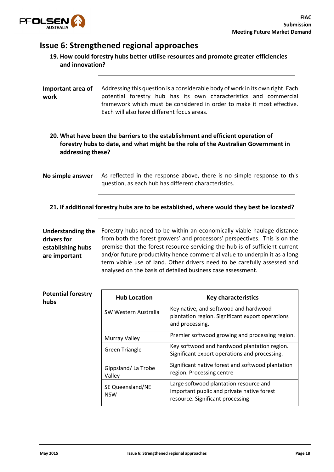

## Issue 6: Strengthened regional approaches

| 19. How could forestry hubs better utilise resources and promote greater efficiencies |  |
|---------------------------------------------------------------------------------------|--|
| and innovation?                                                                       |  |

| Important area of<br>work | Addressing this question is a considerable body of work in its own right. Each<br>potential forestry hub has its own characteristics and commercial<br>framework which must be considered in order to make it most effective.<br>Fach will also have different focus areas. |
|---------------------------|-----------------------------------------------------------------------------------------------------------------------------------------------------------------------------------------------------------------------------------------------------------------------------|
| addressing these?         | 20. What have been the barriers to the establishment and efficient operation of<br>forestry hubs to date, and what might be the role of the Australian Government in                                                                                                        |
| No simple answer          | As reflected in the response above, there is no simple response to this<br>question, as each hub has different characteristics.                                                                                                                                             |

21. If additional forestry hubs are to be established, where would they best be located?

| <b>Understanding the</b> |
|--------------------------|
| drivers for              |
| establishing hubs        |
| are important            |
|                          |

Forestry hubs need to be within an economically viable haulage distance from both the forest growers' and processors' perspectives. This is on the premise that the forest resource servicing the hub is of sufficient current and/or future productivity hence commercial value to underpin it as a long term viable use of land. Other drivers need to be carefully assessed and analysed on the basis of detailed business case assessment.

| <b>Potential forestry</b><br>hubs | <b>Hub Location</b>            | <b>Key characteristics</b>                                                                                               |
|-----------------------------------|--------------------------------|--------------------------------------------------------------------------------------------------------------------------|
|                                   | SW Western Australia           | Key native, and softwood and hardwood<br>plantation region. Significant export operations<br>and processing.             |
|                                   | <b>Murray Valley</b>           | Premier softwood growing and processing region.                                                                          |
|                                   | <b>Green Triangle</b>          | Key softwood and hardwood plantation region.<br>Significant export operations and processing.                            |
|                                   | Gippsland/La Trobe<br>Valley   | Significant native forest and softwood plantation<br>region. Processing centre                                           |
|                                   | SE Queensland/NE<br><b>NSW</b> | Large softwood plantation resource and<br>important public and private native forest<br>resource. Significant processing |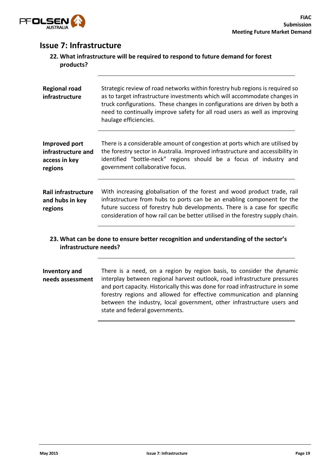

## Issue 7: Infrastructure

| 22. What infrastructure will be required to respond to future demand for forest |
|---------------------------------------------------------------------------------|
| products?                                                                       |

| <b>Regional road</b><br>infrastructure                          | Strategic review of road networks within forestry hub regions is required so<br>as to target infrastructure investments which will accommodate changes in<br>truck configurations. These changes in configurations are driven by both a<br>need to continually improve safety for all road users as well as improving<br>haulage efficiencies. |
|-----------------------------------------------------------------|------------------------------------------------------------------------------------------------------------------------------------------------------------------------------------------------------------------------------------------------------------------------------------------------------------------------------------------------|
| Improved port<br>infrastructure and<br>access in key<br>regions | There is a considerable amount of congestion at ports which are utilised by<br>the forestry sector in Australia. Improved infrastructure and accessibility in<br>identified "bottle-neck" regions should be a focus of industry and<br>government collaborative focus.                                                                         |
| <b>Rail infrastructure</b><br>and hubs in key<br>regions        | With increasing globalisation of the forest and wood product trade, rail<br>infrastructure from hubs to ports can be an enabling component for the<br>future success of forestry hub developments. There is a case for specific<br>consideration of how rail can be better utilised in the forestry supply chain.                              |

#### 23. What can be done to ensure better recognition and understanding of the sector's infrastructure needs?

Inventory and needs assessment There is a need, on a region by region basis, to consider the dynamic interplay between regional harvest outlook, road infrastructure pressures and port capacity. Historically this was done for road infrastructure in some forestry regions and allowed for effective communication and planning between the industry, local government, other infrastructure users and state and federal governments.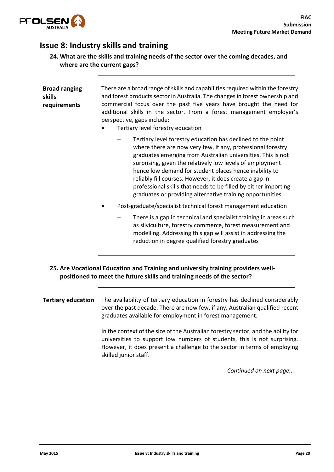

# Issue 8: Industry skills and training

| 24. What are the skills and training needs of the sector over the coming decades, and |  |
|---------------------------------------------------------------------------------------|--|
| where are the current gaps?                                                           |  |

| <b>Broad ranging</b><br>skills<br>requirements | There are a broad range of skills and capabilities required within the forestry<br>and forest products sector in Australia. The changes in forest ownership and<br>commercial focus over the past five years have brought the need for<br>additional skills in the sector. From a forest management employer's<br>perspective, gaps include:<br>Tertiary level forestry education                                                                                                                             |
|------------------------------------------------|---------------------------------------------------------------------------------------------------------------------------------------------------------------------------------------------------------------------------------------------------------------------------------------------------------------------------------------------------------------------------------------------------------------------------------------------------------------------------------------------------------------|
|                                                | Tertiary level forestry education has declined to the point<br>where there are now very few, if any, professional forestry<br>graduates emerging from Australian universities. This is not<br>surprising, given the relatively low levels of employment<br>hence low demand for student places hence inability to<br>reliably fill courses. However, it does create a gap in<br>professional skills that needs to be filled by either importing<br>graduates or providing alternative training opportunities. |
|                                                | Post-graduate/specialist technical forest management education                                                                                                                                                                                                                                                                                                                                                                                                                                                |
|                                                | There is a gap in technical and specialist training in areas such<br>as silviculture, forestry commerce, forest measurement and<br>modelling. Addressing this gap will assist in addressing the<br>reduction in degree qualified forestry graduates                                                                                                                                                                                                                                                           |
|                                                | 25. Are Vocational Education and Training and university training providers well-<br>positioned to meet the future skills and training needs of the sector?                                                                                                                                                                                                                                                                                                                                                   |
| <b>Tertiary education</b>                      | The availability of tertiary education in forestry has declined considerably<br>over the past decade. There are now few, if any, Australian qualified recent<br>graduates available for employment in forest management.                                                                                                                                                                                                                                                                                      |
|                                                | In the context of the size of the Australian forestry sector, and the ability for<br>universities to support low numbers of students, this is not surprising.<br>However, it does present a challenge to the sector in terms of employing<br>skilled junior staff.                                                                                                                                                                                                                                            |

*Continued on next page...*